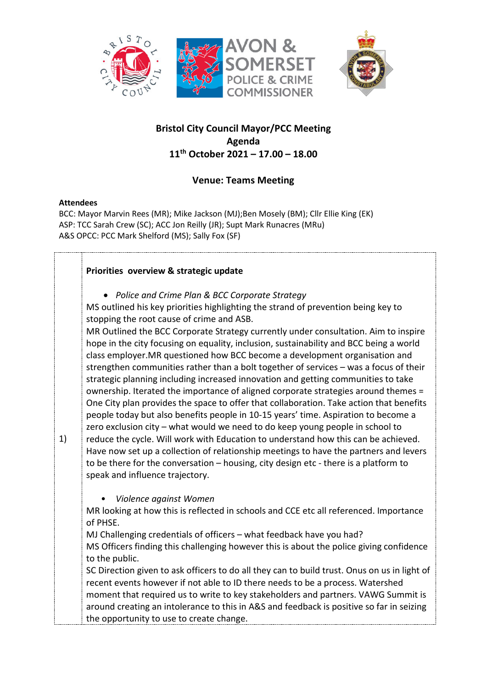



# **Bristol City Council Mayor/PCC Meeting Agenda 11th October 2021 – 17.00 – 18.00**

# **Venue: Teams Meeting**

## **Attendees**

BCC: Mayor Marvin Rees (MR); Mike Jackson (MJ);Ben Mosely (BM); Cllr Ellie King (EK) ASP: TCC Sarah Crew (SC); ACC Jon Reilly (JR); Supt Mark Runacres (MRu) A&S OPCC: PCC Mark Shelford (MS); Sally Fox (SF)

## **Priorities overview & strategic update**

• *Police and Crime Plan & BCC Corporate Strategy*

MS outlined his key priorities highlighting the strand of prevention being key to stopping the root cause of crime and ASB.

MR Outlined the BCC Corporate Strategy currently under consultation. Aim to inspire hope in the city focusing on equality, inclusion, sustainability and BCC being a world class employer.MR questioned how BCC become a development organisation and strengthen communities rather than a bolt together of services – was a focus of their strategic planning including increased innovation and getting communities to take ownership. Iterated the importance of aligned corporate strategies around themes = One City plan provides the space to offer that collaboration. Take action that benefits people today but also benefits people in 10-15 years' time. Aspiration to become a zero exclusion city – what would we need to do keep young people in school to

1) reduce the cycle. Will work with Education to understand how this can be achieved. Have now set up a collection of relationship meetings to have the partners and levers to be there for the conversation – housing, city design etc - there is a platform to speak and influence trajectory.

• *Violence against Women* 

MR looking at how this is reflected in schools and CCE etc all referenced. Importance of PHSE.

MJ Challenging credentials of officers – what feedback have you had? MS Officers finding this challenging however this is about the police giving confidence to the public.

SC Direction given to ask officers to do all they can to build trust. Onus on us in light of recent events however if not able to ID there needs to be a process. Watershed moment that required us to write to key stakeholders and partners. VAWG Summit is around creating an intolerance to this in A&S and feedback is positive so far in seizing the opportunity to use to create change.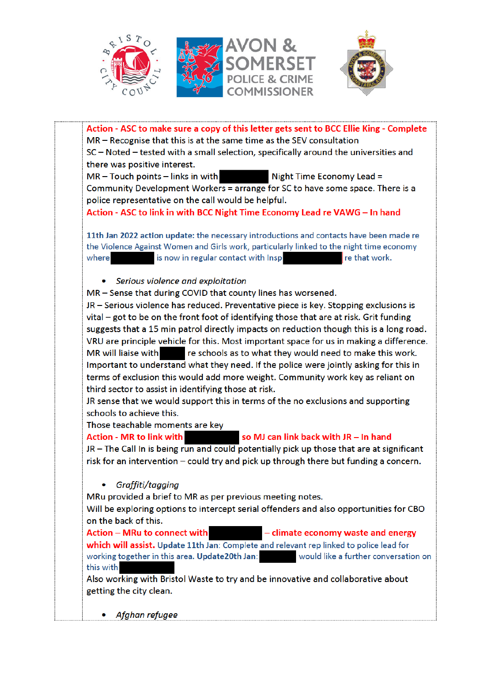



Action - ASC to make sure a copy of this letter gets sent to BCC Ellie King - Complete MR – Recognise that this is at the same time as the SEV consultation SC - Noted - tested with a small selection, specifically around the universities and there was positive interest.

 $MR - Touch$  points  $-$  links in with Night Time Economy Lead = Community Development Workers = arrange for SC to have some space. There is a police representative on the call would be helpful.

Action - ASC to link in with BCC Night Time Economy Lead re VAWG - In hand

11th Jan 2022 action update: the necessary introductions and contacts have been made re the Violence Against Women and Girls work, particularly linked to the night time economy where is now in regular contact with Insp re that work.

## • Serious violence and exploitation

MR - Sense that during COVID that county lines has worsened.

JR - Serious violence has reduced. Preventative piece is key. Stopping exclusions is vital - got to be on the front foot of identifying those that are at risk. Grit funding suggests that a 15 min patrol directly impacts on reduction though this is a long road. VRU are principle vehicle for this. Most important space for us in making a difference. **MR** will liaise with re schools as to what they would need to make this work. Important to understand what they need. If the police were jointly asking for this in terms of exclusion this would add more weight. Community work key as reliant on third sector to assist in identifying those at risk.

JR sense that we would support this in terms of the no exclusions and supporting schools to achieve this.

Those teachable moments are key

#### **Action - MR to link with** so MJ can link back with JR - In hand

JR - The Call In is being run and could potentially pick up those that are at significant risk for an intervention – could try and pick up through there but funding a concern.

• Graffiti/tagging

MRu provided a brief to MR as per previous meeting notes.

Will be exploring options to intercept serial offenders and also opportunities for CBO on the back of this.

Action - MRu to connect with - climate economy waste and energy which will assist. Update 11th Jan: Complete and relevant rep linked to police lead for would like a further conversation on working together in this area. Update20th Jan: this with

Also working with Bristol Waste to try and be innovative and collaborative about getting the city clean.

Afghan refugee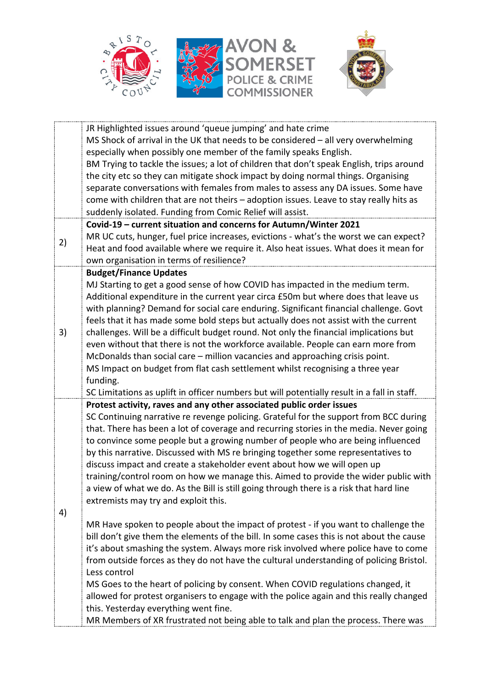



|    | JR Highlighted issues around 'queue jumping' and hate crime<br>MS Shock of arrival in the UK that needs to be considered - all very overwhelming |
|----|--------------------------------------------------------------------------------------------------------------------------------------------------|
|    | especially when possibly one member of the family speaks English.                                                                                |
|    | BM Trying to tackle the issues; a lot of children that don't speak English, trips around                                                         |
|    | the city etc so they can mitigate shock impact by doing normal things. Organising                                                                |
|    | separate conversations with females from males to assess any DA issues. Some have                                                                |
|    | come with children that are not theirs - adoption issues. Leave to stay really hits as                                                           |
|    | suddenly isolated. Funding from Comic Relief will assist.                                                                                        |
|    | Covid-19 - current situation and concerns for Autumn/Winter 2021                                                                                 |
| 2) | MR UC cuts, hunger, fuel price increases, evictions - what's the worst we can expect?                                                            |
|    | Heat and food available where we require it. Also heat issues. What does it mean for                                                             |
|    | own organisation in terms of resilience?                                                                                                         |
|    | <b>Budget/Finance Updates</b>                                                                                                                    |
|    | MJ Starting to get a good sense of how COVID has impacted in the medium term.                                                                    |
|    | Additional expenditure in the current year circa £50m but where does that leave us                                                               |
|    | with planning? Demand for social care enduring. Significant financial challenge. Govt                                                            |
| 3) | feels that it has made some bold steps but actually does not assist with the current                                                             |
|    | challenges. Will be a difficult budget round. Not only the financial implications but                                                            |
|    | even without that there is not the workforce available. People can earn more from                                                                |
|    | McDonalds than social care – million vacancies and approaching crisis point.                                                                     |
|    | MS Impact on budget from flat cash settlement whilst recognising a three year                                                                    |
|    | funding.                                                                                                                                         |
|    | SC Limitations as uplift in officer numbers but will potentially result in a fall in staff.                                                      |
|    | Protest activity, raves and any other associated public order issues                                                                             |
|    | SC Continuing narrative re revenge policing. Grateful for the support from BCC during                                                            |
|    | that. There has been a lot of coverage and recurring stories in the media. Never going                                                           |
|    | to convince some people but a growing number of people who are being influenced                                                                  |
|    | by this narrative. Discussed with MS re bringing together some representatives to                                                                |
|    | discuss impact and create a stakeholder event about how we will open up                                                                          |
|    | training/control room on how we manage this. Aimed to provide the wider public with                                                              |
|    | a view of what we do. As the Bill is still going through there is a risk that hard line                                                          |
|    | extremists may try and exploit this.                                                                                                             |
| 4) |                                                                                                                                                  |
|    | MR Have spoken to people about the impact of protest - if you want to challenge the                                                              |
|    | bill don't give them the elements of the bill. In some cases this is not about the cause                                                         |
|    | it's about smashing the system. Always more risk involved where police have to come                                                              |
|    | from outside forces as they do not have the cultural understanding of policing Bristol.<br>Less control                                          |
|    |                                                                                                                                                  |
|    | MS Goes to the heart of policing by consent. When COVID regulations changed, it                                                                  |
|    | allowed for protest organisers to engage with the police again and this really changed<br>this. Yesterday everything went fine.                  |
|    | MR Members of XR frustrated not being able to talk and plan the process. There was                                                               |
|    |                                                                                                                                                  |